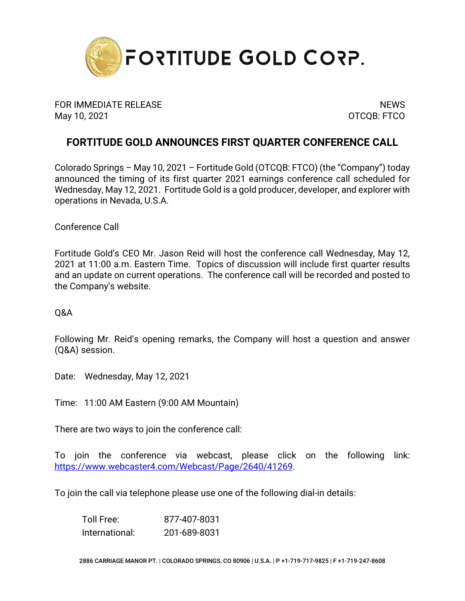

FOR IMMEDIATE RELEASE NEWS ARE A SERIES OF A SERIES OF A SERIES OF A SERIES OF A SERIES OF A SERIES OF A SERIES May 10, 2021 **OTCQB: FTCO** 

## **FORTITUDE GOLD ANNOUNCES FIRST QUARTER CONFERENCE CALL**

Colorado Springs – May 10, 2021 – Fortitude Gold (OTCQB: FTCO) (the "Company") today announced the timing of its first quarter 2021 earnings conference call scheduled for Wednesday, May 12, 2021. Fortitude Gold is a gold producer, developer, and explorer with operations in Nevada, U.S.A.

Conference Call

Fortitude Gold's CEO Mr. Jason Reid will host the conference call Wednesday, May 12, 2021 at 11:00 a.m. Eastern Time. Topics of discussion will include first quarter results and an update on current operations. The conference call will be recorded and posted to the Company's website.

Q&A

Following Mr. Reid's opening remarks, the Company will host a question and answer (Q&A) session.

Date: Wednesday, May 12, 2021

Time: 11:00 AM Eastern (9:00 AM Mountain)

There are two ways to join the conference call:

To join the conference via webcast, please click on the following link: [https://www.webcaster4.com/Webcast/Page/2640/41269.](https://urldefense.proofpoint.com/v2/url?u=https-3A__www.webcaster4.com_Webcast_Page_2640_41269&d=DwMFAg&c=euGZstcaTDllvimEN8b7jXrwqOf-v5A_CdpgnVfiiMM&r=CDSfYHrgzOGf2w-Rwt6Uk0zVxiY8YrVRn781D9Ps-qc&m=T6jP9Oq3kSHD8lchF1BBJa78wWOVf1co-fnTA4IXLk8&s=rd2F3mSeHi_RQFNIJgLzq2VApf9C7XTVRHStkJnEGQo&e=)

To join the call via telephone please use one of the following dial-in details:

Toll Free: 877-407-8031 International: 201-689-8031